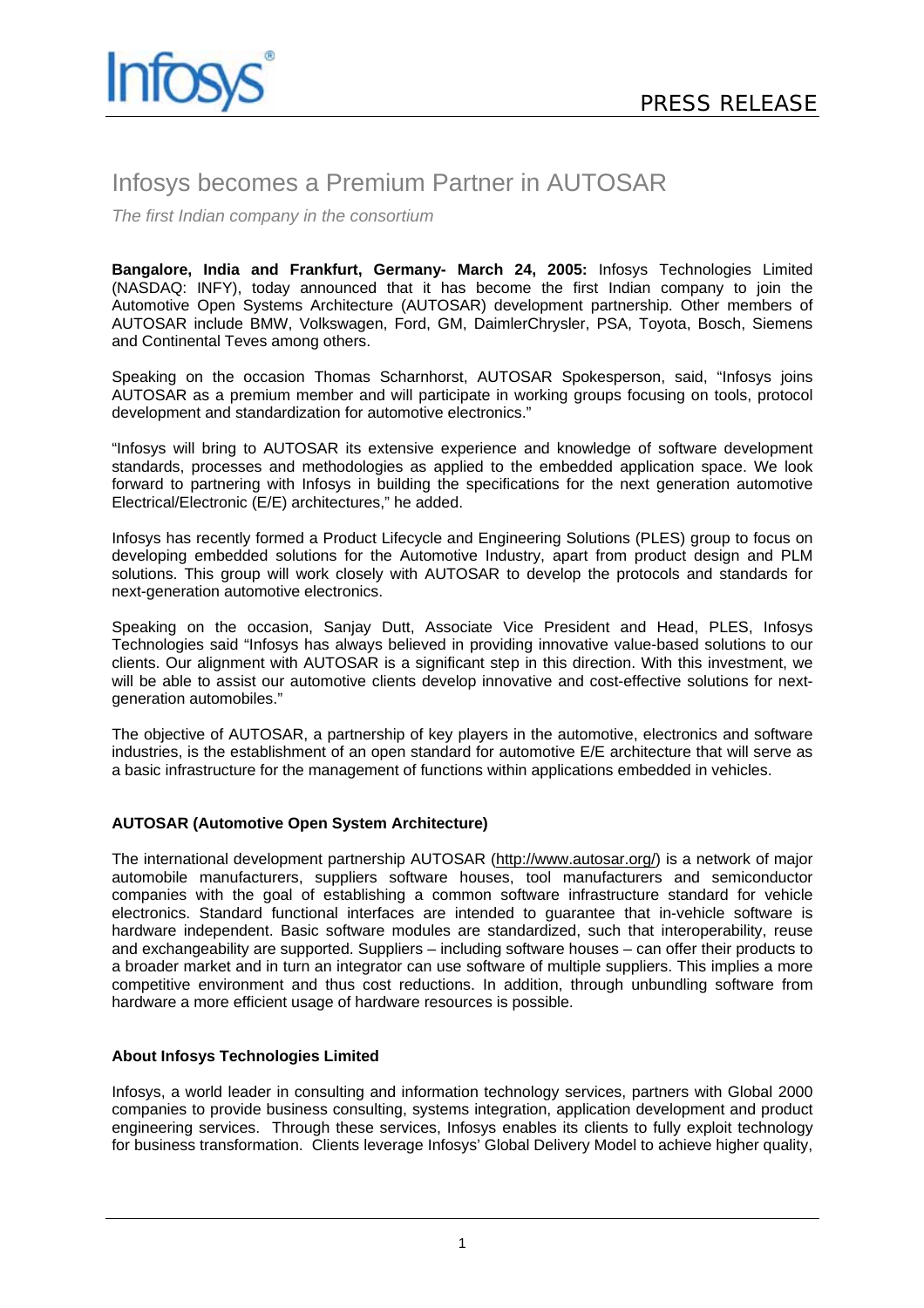

# Infosys becomes a Premium Partner in AUTOSAR

*The first Indian company in the consortium*

**Bangalore, India and Frankfurt, Germany- March 24, 2005:** Infosys Technologies Limited (NASDAQ: INFY), today announced that it has become the first Indian company to join the Automotive Open Systems Architecture (AUTOSAR) development partnership. Other members of AUTOSAR include BMW, Volkswagen, Ford, GM, DaimlerChrysler, PSA, Toyota, Bosch, Siemens and Continental Teves among others.

Speaking on the occasion Thomas Scharnhorst, AUTOSAR Spokesperson, said, "Infosys joins AUTOSAR as a premium member and will participate in working groups focusing on tools, protocol development and standardization for automotive electronics."

"Infosys will bring to AUTOSAR its extensive experience and knowledge of software development standards, processes and methodologies as applied to the embedded application space. We look forward to partnering with Infosys in building the specifications for the next generation automotive Electrical/Electronic (E/E) architectures," he added.

Infosys has recently formed a Product Lifecycle and Engineering Solutions (PLES) group to focus on developing embedded solutions for the Automotive Industry, apart from product design and PLM solutions. This group will work closely with AUTOSAR to develop the protocols and standards for next-generation automotive electronics.

Speaking on the occasion, Sanjay Dutt, Associate Vice President and Head, PLES, Infosys Technologies said "Infosys has always believed in providing innovative value-based solutions to our clients. Our alignment with AUTOSAR is a significant step in this direction. With this investment, we will be able to assist our automotive clients develop innovative and cost-effective solutions for nextgeneration automobiles."

The objective of AUTOSAR, a partnership of key players in the automotive, electronics and software industries, is the establishment of an open standard for automotive E/E architecture that will serve as a basic infrastructure for the management of functions within applications embedded in vehicles.

## **AUTOSAR (Automotive Open System Architecture)**

The international development partnership AUTOSAR (http://www.autosar.org/) is a network of major automobile manufacturers, suppliers software houses, tool manufacturers and semiconductor companies with the goal of establishing a common software infrastructure standard for vehicle electronics. Standard functional interfaces are intended to guarantee that in-vehicle software is hardware independent. Basic software modules are standardized, such that interoperability, reuse and exchangeability are supported. Suppliers – including software houses – can offer their products to a broader market and in turn an integrator can use software of multiple suppliers. This implies a more competitive environment and thus cost reductions. In addition, through unbundling software from hardware a more efficient usage of hardware resources is possible.

## **About Infosys Technologies Limited**

Infosys, a world leader in consulting and information technology services, partners with Global 2000 companies to provide business consulting, systems integration, application development and product engineering services. Through these services, Infosys enables its clients to fully exploit technology for business transformation. Clients leverage Infosys' Global Delivery Model to achieve higher quality,